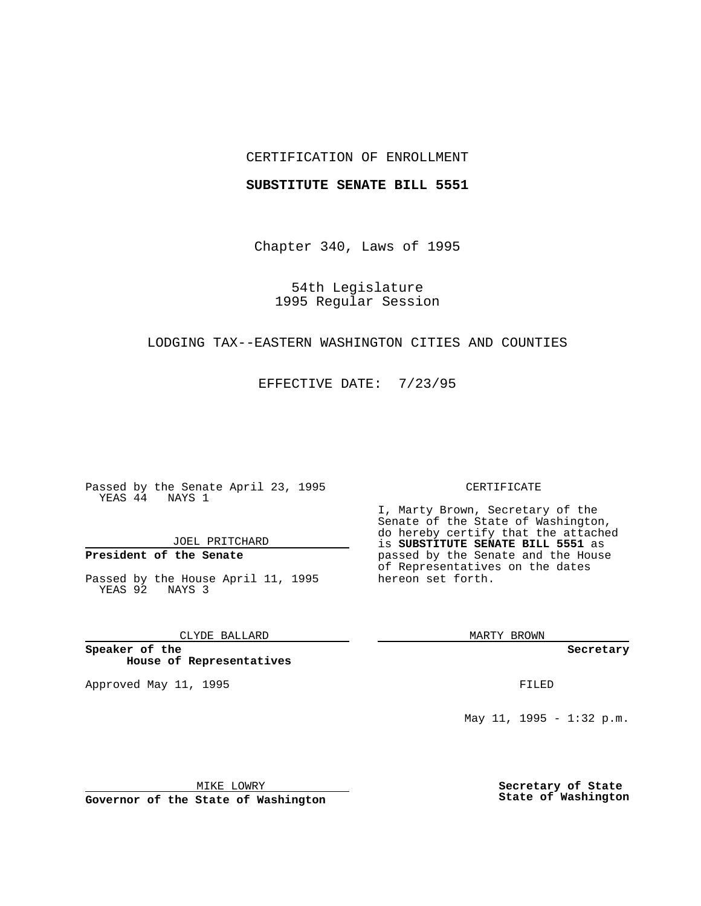## CERTIFICATION OF ENROLLMENT

### **SUBSTITUTE SENATE BILL 5551**

Chapter 340, Laws of 1995

54th Legislature 1995 Regular Session

## LODGING TAX--EASTERN WASHINGTON CITIES AND COUNTIES

EFFECTIVE DATE: 7/23/95

Passed by the Senate April 23, 1995 YEAS 44 NAYS 1

JOEL PRITCHARD

# **President of the Senate**

Passed by the House April 11, 1995 YEAS 92 NAYS 3

CLYDE BALLARD

**Speaker of the House of Representatives**

Approved May 11, 1995 **FILED** 

#### CERTIFICATE

I, Marty Brown, Secretary of the Senate of the State of Washington, do hereby certify that the attached is **SUBSTITUTE SENATE BILL 5551** as passed by the Senate and the House of Representatives on the dates hereon set forth.

MARTY BROWN

**Secretary**

May 11, 1995 - 1:32 p.m.

MIKE LOWRY

**Governor of the State of Washington**

**Secretary of State State of Washington**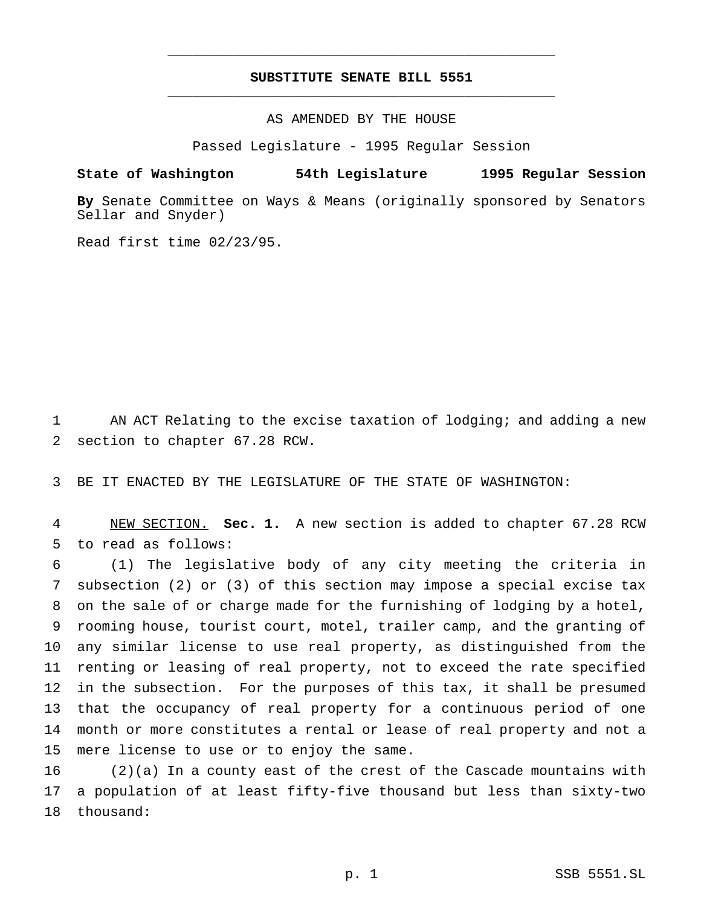# **SUBSTITUTE SENATE BILL 5551** \_\_\_\_\_\_\_\_\_\_\_\_\_\_\_\_\_\_\_\_\_\_\_\_\_\_\_\_\_\_\_\_\_\_\_\_\_\_\_\_\_\_\_\_\_\_\_

\_\_\_\_\_\_\_\_\_\_\_\_\_\_\_\_\_\_\_\_\_\_\_\_\_\_\_\_\_\_\_\_\_\_\_\_\_\_\_\_\_\_\_\_\_\_\_

## AS AMENDED BY THE HOUSE

Passed Legislature - 1995 Regular Session

### **State of Washington 54th Legislature 1995 Regular Session**

**By** Senate Committee on Ways & Means (originally sponsored by Senators Sellar and Snyder)

Read first time 02/23/95.

 AN ACT Relating to the excise taxation of lodging; and adding a new section to chapter 67.28 RCW.

BE IT ENACTED BY THE LEGISLATURE OF THE STATE OF WASHINGTON:

 NEW SECTION. **Sec. 1.** A new section is added to chapter 67.28 RCW to read as follows:

 (1) The legislative body of any city meeting the criteria in subsection (2) or (3) of this section may impose a special excise tax on the sale of or charge made for the furnishing of lodging by a hotel, rooming house, tourist court, motel, trailer camp, and the granting of any similar license to use real property, as distinguished from the renting or leasing of real property, not to exceed the rate specified in the subsection. For the purposes of this tax, it shall be presumed that the occupancy of real property for a continuous period of one month or more constitutes a rental or lease of real property and not a mere license to use or to enjoy the same.

 (2)(a) In a county east of the crest of the Cascade mountains with a population of at least fifty-five thousand but less than sixty-two thousand: